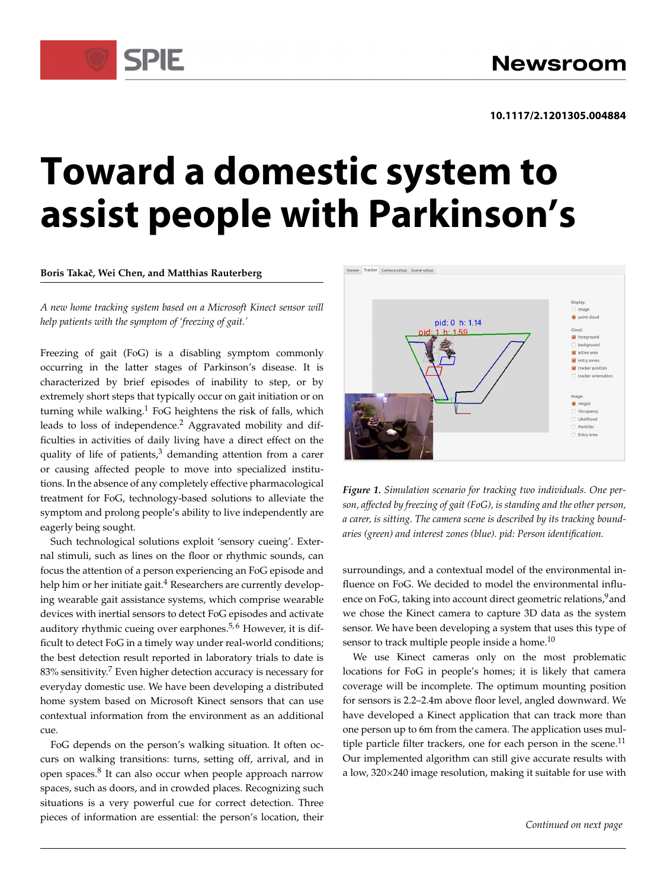# **Toward a domestic system to assist people with Parkinson's**

**Boris Takaˇc, Wei Chen, and Matthias Rauterberg**

*A new home tracking system based on a Microsoft Kinect sensor will help patients with the symptom of 'freezing of gait.'*

Freezing of gait (FoG) is a disabling symptom commonly occurring in the latter stages of Parkinson's disease. It is characterized by brief episodes of inability to step, or by extremely short steps that typically occur on gait initiation or on turning while walking.<sup>1</sup> FoG heightens the risk of falls, which leads to loss of independence.<sup>2</sup> Aggravated mobility and difficulties in activities of daily living have a direct effect on the quality of life of patients, $3$  demanding attention from a carer or causing affected people to move into specialized institutions. In the absence of any completely effective pharmacological treatment for FoG, technology-based solutions to alleviate the symptom and prolong people's ability to live independently are eagerly being sought.

Such technological solutions exploit 'sensory cueing'. External stimuli, such as lines on the floor or rhythmic sounds, can focus the attention of a person experiencing an FoG episode and help him or her initiate gait.<sup>4</sup> Researchers are currently developing wearable gait assistance systems, which comprise wearable devices with inertial sensors to detect FoG episodes and activate auditory rhythmic cueing over earphones.<sup>5,6</sup> However, it is difficult to detect FoG in a timely way under real-world conditions; the best detection result reported in laboratory trials to date is 83% sensitivity.<sup>7</sup> Even higher detection accuracy is necessary for everyday domestic use. We have been developing a distributed home system based on Microsoft Kinect sensors that can use contextual information from the environment as an additional cue.

FoG depends on the person's walking situation. It often occurs on walking transitions: turns, setting off, arrival, and in open spaces.<sup>8</sup> It can also occur when people approach narrow spaces, such as doors, and in crowded places. Recognizing such situations is a very powerful cue for correct detection. Three pieces of information are essential: the person's location, their



<span id="page-0-0"></span>*Figure 1. Simulation scenario for tracking two individuals. One person, affected by freezing of gait (FoG), is standing and the other person, a carer, is sitting. The camera scene is described by its tracking boundaries (green) and interest zones (blue). pid: Person identification.*

surroundings, and a contextual model of the environmental influence on FoG. We decided to model the environmental influence on FoG, taking into account direct geometric relations,<sup>9</sup> and we chose the Kinect camera to capture 3D data as the system sensor. We have been developing a system that uses this type of sensor to track multiple people inside a home.<sup>10</sup>

We use Kinect cameras only on the most problematic locations for FoG in people's homes; it is likely that camera coverage will be incomplete. The optimum mounting position for sensors is 2.2–2.4m above floor level, angled downward. We have developed a Kinect application that can track more than one person up to 6m from the camera. The application uses multiple particle filter trackers, one for each person in the scene. $^{11}$ Our implemented algorithm can still give accurate results with a low, 320×240 image resolution, making it suitable for use with